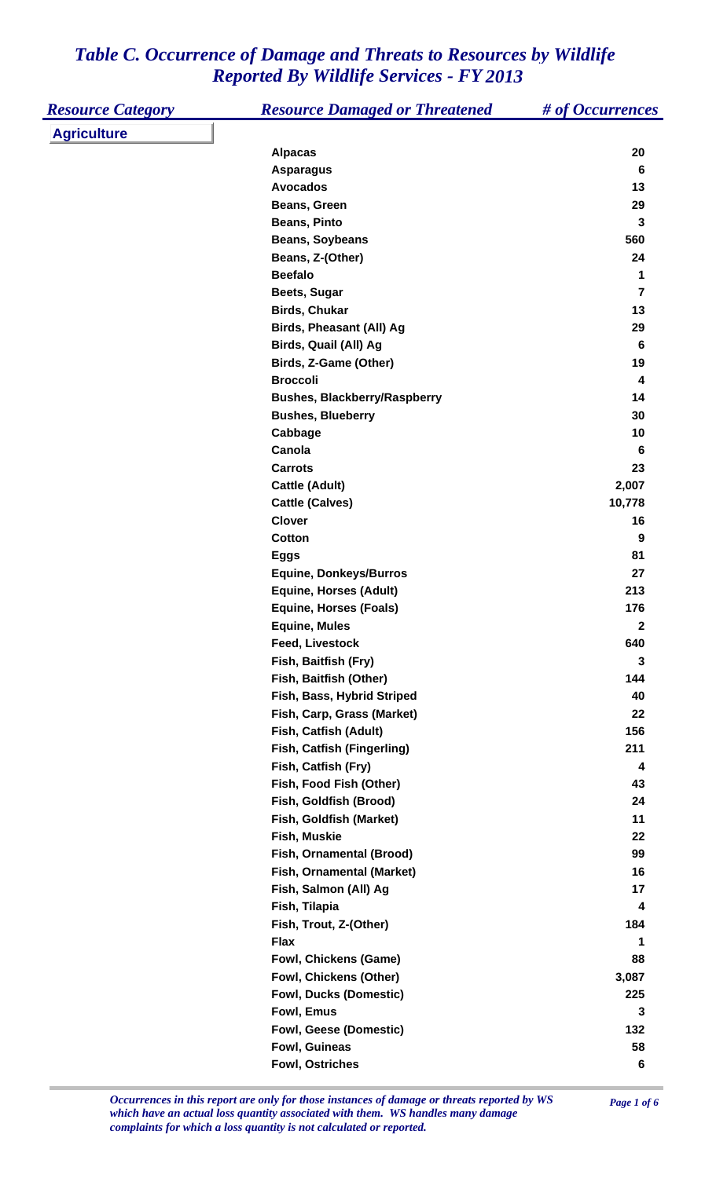| <b>Resource Category</b> | <b>Resource Damaged or Threatened</b> | # of Occurrences |
|--------------------------|---------------------------------------|------------------|
| <b>Agriculture</b>       |                                       |                  |
|                          | <b>Alpacas</b>                        | 20               |
|                          | <b>Asparagus</b>                      | $6\phantom{1}6$  |
|                          | <b>Avocados</b>                       | 13               |
|                          | Beans, Green                          | 29               |
|                          | <b>Beans, Pinto</b>                   | $\mathbf 3$      |
|                          | <b>Beans, Soybeans</b>                | 560              |
|                          | Beans, Z-(Other)                      | 24               |
|                          | <b>Beefalo</b>                        | 1                |
|                          | Beets, Sugar                          | $\overline{7}$   |
|                          | <b>Birds, Chukar</b>                  | 13               |
|                          | <b>Birds, Pheasant (All) Ag</b>       | 29               |
|                          | Birds, Quail (All) Ag                 | $6\phantom{1}6$  |
|                          | Birds, Z-Game (Other)                 | 19               |
|                          | <b>Broccoli</b>                       | 4                |
|                          | <b>Bushes, Blackberry/Raspberry</b>   | 14               |
|                          | <b>Bushes, Blueberry</b>              | 30               |
|                          | Cabbage                               | 10               |
|                          | Canola                                | 6                |
|                          | <b>Carrots</b>                        | 23               |
|                          | <b>Cattle (Adult)</b>                 | 2,007            |
|                          | <b>Cattle (Calves)</b>                | 10,778           |
|                          | <b>Clover</b>                         | 16               |
|                          | Cotton                                | 9                |
|                          | <b>Eggs</b>                           | 81               |
|                          | <b>Equine, Donkeys/Burros</b>         | 27               |
|                          | <b>Equine, Horses (Adult)</b>         | 213              |
|                          | <b>Equine, Horses (Foals)</b>         | 176              |
|                          | <b>Equine, Mules</b>                  | $\mathbf 2$      |
|                          | Feed, Livestock                       | 640              |
|                          | Fish, Baitfish (Fry)                  | $\mathbf 3$      |
|                          | Fish, Baitfish (Other)                | 144              |
|                          | Fish, Bass, Hybrid Striped            | 40               |
|                          | Fish, Carp, Grass (Market)            | 22               |
|                          | Fish, Catfish (Adult)                 | 156              |
|                          | Fish, Catfish (Fingerling)            | 211              |
|                          | Fish, Catfish (Fry)                   | 4                |
|                          | Fish, Food Fish (Other)               | 43               |
|                          | Fish, Goldfish (Brood)                | 24               |
|                          | Fish, Goldfish (Market)               | 11               |
|                          | Fish, Muskie                          | 22               |
|                          | Fish, Ornamental (Brood)              | 99               |
|                          | Fish, Ornamental (Market)             | 16               |
|                          | Fish, Salmon (All) Ag                 | 17               |
|                          | Fish, Tilapia                         | 4                |
|                          | Fish, Trout, Z-(Other)                | 184              |
|                          | <b>Flax</b>                           | 1                |
|                          | <b>Fowl, Chickens (Game)</b>          | 88               |
|                          | Fowl, Chickens (Other)                | 3,087            |
|                          | <b>Fowl, Ducks (Domestic)</b>         | 225              |
|                          | Fowl, Emus                            | 3                |
|                          | <b>Fowl, Geese (Domestic)</b>         | 132              |
|                          | Fowl, Guineas                         | 58               |
|                          | <b>Fowl, Ostriches</b>                | 6                |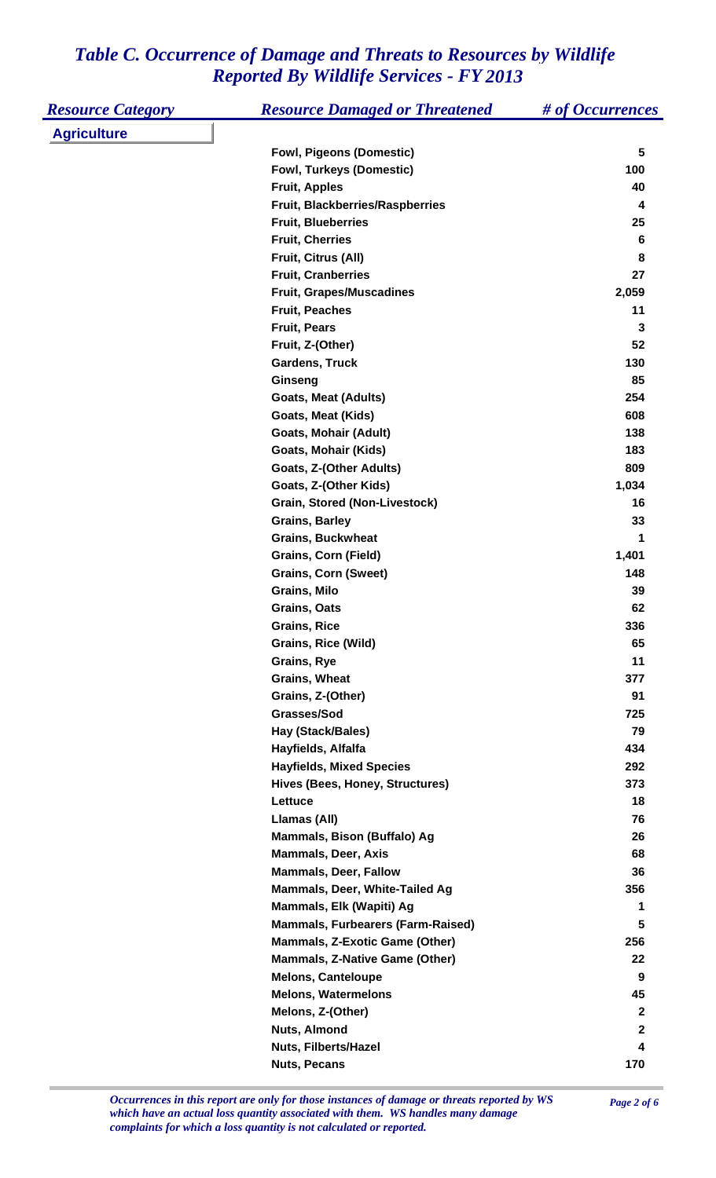| <b>Resource Category</b> | <b>Resource Damaged or Threatened</b>    | # of Occurrences |
|--------------------------|------------------------------------------|------------------|
| <b>Agriculture</b>       |                                          |                  |
|                          | <b>Fowl, Pigeons (Domestic)</b>          | 5                |
|                          | <b>Fowl, Turkeys (Domestic)</b>          | 100              |
|                          | <b>Fruit, Apples</b>                     | 40               |
|                          | Fruit, Blackberries/Raspberries          | 4                |
|                          | <b>Fruit, Blueberries</b>                | 25               |
|                          | <b>Fruit, Cherries</b>                   | 6                |
|                          | Fruit, Citrus (All)                      | 8                |
|                          | <b>Fruit, Cranberries</b>                | 27               |
|                          | <b>Fruit, Grapes/Muscadines</b>          | 2,059            |
|                          | <b>Fruit, Peaches</b>                    | 11               |
|                          | <b>Fruit, Pears</b>                      | 3                |
|                          | Fruit, Z-(Other)                         | 52               |
|                          | <b>Gardens, Truck</b>                    | 130              |
|                          | Ginseng                                  | 85               |
|                          | <b>Goats, Meat (Adults)</b>              | 254              |
|                          | <b>Goats, Meat (Kids)</b>                | 608              |
|                          | Goats, Mohair (Adult)                    | 138              |
|                          | <b>Goats, Mohair (Kids)</b>              | 183              |
|                          | Goats, Z-(Other Adults)                  | 809              |
|                          | Goats, Z-(Other Kids)                    | 1,034            |
|                          | <b>Grain, Stored (Non-Livestock)</b>     | 16               |
|                          | <b>Grains, Barley</b>                    | 33               |
|                          | <b>Grains, Buckwheat</b>                 | 1                |
|                          | <b>Grains, Corn (Field)</b>              | 1,401            |
|                          | <b>Grains, Corn (Sweet)</b>              | 148              |
|                          | <b>Grains, Milo</b>                      | 39               |
|                          | <b>Grains, Oats</b>                      | 62               |
|                          | <b>Grains, Rice</b>                      | 336              |
|                          | <b>Grains, Rice (Wild)</b>               | 65               |
|                          | Grains, Rye                              | 11               |
|                          | <b>Grains, Wheat</b>                     | 377              |
|                          | Grains, Z-(Other)                        | 91               |
|                          | Grasses/Sod                              | 725              |
|                          | Hay (Stack/Bales)                        | 79               |
|                          | Hayfields, Alfalfa                       | 434              |
|                          | <b>Hayfields, Mixed Species</b>          | 292              |
|                          | Hives (Bees, Honey, Structures)          | 373              |
|                          | Lettuce                                  | 18               |
|                          | Llamas (All)                             | 76               |
|                          | Mammals, Bison (Buffalo) Ag              | 26               |
|                          | <b>Mammals, Deer, Axis</b>               | 68               |
|                          | <b>Mammals, Deer, Fallow</b>             | 36               |
|                          | Mammals, Deer, White-Tailed Ag           | 356              |
|                          | Mammals, Elk (Wapiti) Ag                 | 1                |
|                          | <b>Mammals, Furbearers (Farm-Raised)</b> | 5                |
|                          | <b>Mammals, Z-Exotic Game (Other)</b>    | 256              |
|                          | <b>Mammals, Z-Native Game (Other)</b>    | 22               |
|                          | <b>Melons, Canteloupe</b>                | 9                |
|                          | <b>Melons, Watermelons</b>               | 45               |
|                          | Melons, Z-(Other)                        | $\mathbf{2}$     |
|                          | Nuts, Almond                             | $\mathbf{2}$     |
|                          | Nuts, Filberts/Hazel                     | 4                |
|                          | <b>Nuts, Pecans</b>                      | 170              |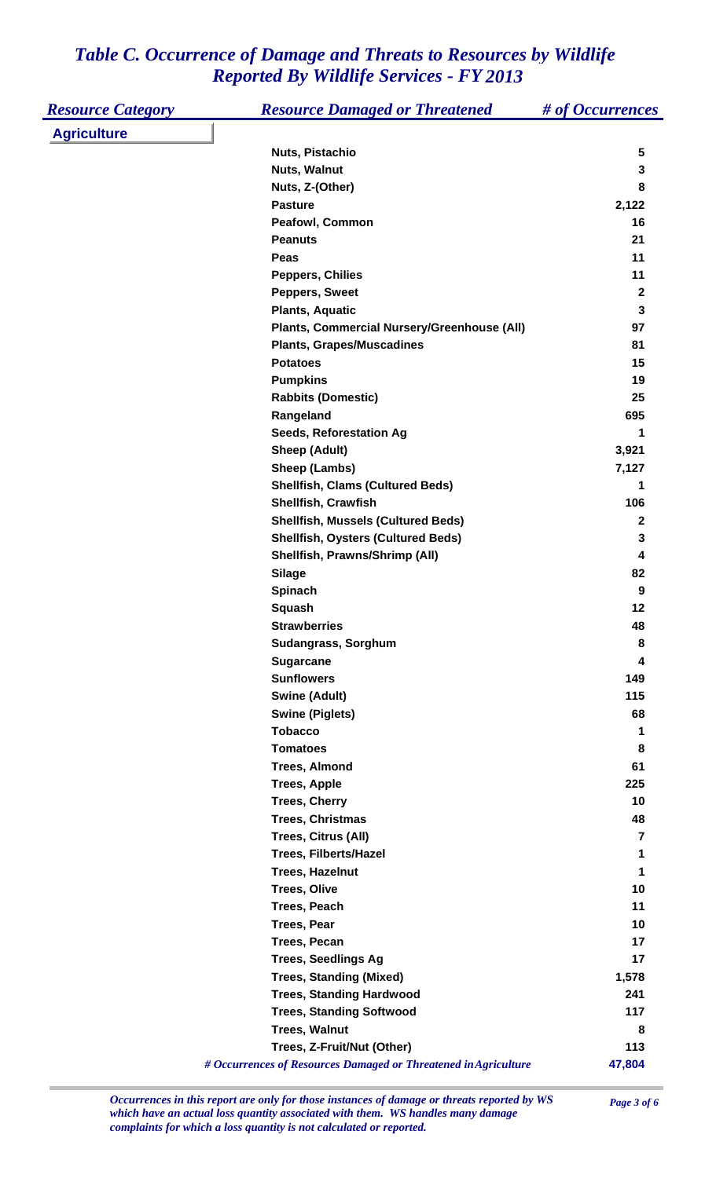| <b>Agriculture</b><br>Nuts, Pistachio<br>5<br><b>Nuts, Walnut</b><br>3<br>Nuts, Z-(Other)<br>8<br><b>Pasture</b><br>2,122<br>16<br><b>Peafowl, Common</b><br><b>Peanuts</b><br>21<br>11<br>Peas<br>11<br><b>Peppers, Chilies</b><br>Peppers, Sweet<br>$\mathbf 2$<br>$\mathbf 3$<br><b>Plants, Aquatic</b><br>Plants, Commercial Nursery/Greenhouse (All)<br>97<br><b>Plants, Grapes/Muscadines</b><br>81<br><b>Potatoes</b><br>15<br><b>Pumpkins</b><br>19<br><b>Rabbits (Domestic)</b><br>25<br>695<br>Rangeland<br>Seeds, Reforestation Ag<br>1<br><b>Sheep (Adult)</b><br>3,921<br>Sheep (Lambs)<br>7,127<br><b>Shellfish, Clams (Cultured Beds)</b><br>1<br>Shellfish, Crawfish<br>106<br><b>Shellfish, Mussels (Cultured Beds)</b><br>$\mathbf 2$<br><b>Shellfish, Oysters (Cultured Beds)</b><br>3<br>Shellfish, Prawns/Shrimp (All)<br>4<br><b>Silage</b><br>82<br>Spinach<br>9<br><b>Squash</b><br>12<br><b>Strawberries</b><br>48<br>Sudangrass, Sorghum<br>8<br><b>Sugarcane</b><br>4<br><b>Sunflowers</b><br>149<br><b>Swine (Adult)</b><br>115<br><b>Swine (Piglets)</b><br>68<br><b>Tobacco</b><br>1<br><b>Tomatoes</b><br>8<br><b>Trees, Almond</b><br>61<br>225<br><b>Trees, Apple</b><br><b>Trees, Cherry</b><br>10<br><b>Trees, Christmas</b><br>48<br>Trees, Citrus (All)<br>7<br><b>Trees, Filberts/Hazel</b><br>1<br>Trees, Hazelnut<br>1<br><b>Trees, Olive</b><br>10<br><b>Trees, Peach</b><br>11<br><b>Trees, Pear</b><br>10<br>17<br><b>Trees, Pecan</b><br><b>Trees, Seedlings Ag</b><br>17<br><b>Trees, Standing (Mixed)</b><br>1,578<br><b>Trees, Standing Hardwood</b><br>241<br><b>Trees, Standing Softwood</b><br>117<br><b>Trees, Walnut</b><br>8<br>Trees, Z-Fruit/Nut (Other)<br>113<br>47,804<br># Occurrences of Resources Damaged or Threatened in Agriculture | <b>Resource Category</b> | <b>Resource Damaged or Threatened</b> | # of Occurrences |
|-----------------------------------------------------------------------------------------------------------------------------------------------------------------------------------------------------------------------------------------------------------------------------------------------------------------------------------------------------------------------------------------------------------------------------------------------------------------------------------------------------------------------------------------------------------------------------------------------------------------------------------------------------------------------------------------------------------------------------------------------------------------------------------------------------------------------------------------------------------------------------------------------------------------------------------------------------------------------------------------------------------------------------------------------------------------------------------------------------------------------------------------------------------------------------------------------------------------------------------------------------------------------------------------------------------------------------------------------------------------------------------------------------------------------------------------------------------------------------------------------------------------------------------------------------------------------------------------------------------------------------------------------------------------------------------------------------------------------------------------------------------------------------------------------------|--------------------------|---------------------------------------|------------------|
|                                                                                                                                                                                                                                                                                                                                                                                                                                                                                                                                                                                                                                                                                                                                                                                                                                                                                                                                                                                                                                                                                                                                                                                                                                                                                                                                                                                                                                                                                                                                                                                                                                                                                                                                                                                                     |                          |                                       |                  |
|                                                                                                                                                                                                                                                                                                                                                                                                                                                                                                                                                                                                                                                                                                                                                                                                                                                                                                                                                                                                                                                                                                                                                                                                                                                                                                                                                                                                                                                                                                                                                                                                                                                                                                                                                                                                     |                          |                                       |                  |
|                                                                                                                                                                                                                                                                                                                                                                                                                                                                                                                                                                                                                                                                                                                                                                                                                                                                                                                                                                                                                                                                                                                                                                                                                                                                                                                                                                                                                                                                                                                                                                                                                                                                                                                                                                                                     |                          |                                       |                  |
|                                                                                                                                                                                                                                                                                                                                                                                                                                                                                                                                                                                                                                                                                                                                                                                                                                                                                                                                                                                                                                                                                                                                                                                                                                                                                                                                                                                                                                                                                                                                                                                                                                                                                                                                                                                                     |                          |                                       |                  |
|                                                                                                                                                                                                                                                                                                                                                                                                                                                                                                                                                                                                                                                                                                                                                                                                                                                                                                                                                                                                                                                                                                                                                                                                                                                                                                                                                                                                                                                                                                                                                                                                                                                                                                                                                                                                     |                          |                                       |                  |
|                                                                                                                                                                                                                                                                                                                                                                                                                                                                                                                                                                                                                                                                                                                                                                                                                                                                                                                                                                                                                                                                                                                                                                                                                                                                                                                                                                                                                                                                                                                                                                                                                                                                                                                                                                                                     |                          |                                       |                  |
|                                                                                                                                                                                                                                                                                                                                                                                                                                                                                                                                                                                                                                                                                                                                                                                                                                                                                                                                                                                                                                                                                                                                                                                                                                                                                                                                                                                                                                                                                                                                                                                                                                                                                                                                                                                                     |                          |                                       |                  |
|                                                                                                                                                                                                                                                                                                                                                                                                                                                                                                                                                                                                                                                                                                                                                                                                                                                                                                                                                                                                                                                                                                                                                                                                                                                                                                                                                                                                                                                                                                                                                                                                                                                                                                                                                                                                     |                          |                                       |                  |
|                                                                                                                                                                                                                                                                                                                                                                                                                                                                                                                                                                                                                                                                                                                                                                                                                                                                                                                                                                                                                                                                                                                                                                                                                                                                                                                                                                                                                                                                                                                                                                                                                                                                                                                                                                                                     |                          |                                       |                  |
|                                                                                                                                                                                                                                                                                                                                                                                                                                                                                                                                                                                                                                                                                                                                                                                                                                                                                                                                                                                                                                                                                                                                                                                                                                                                                                                                                                                                                                                                                                                                                                                                                                                                                                                                                                                                     |                          |                                       |                  |
|                                                                                                                                                                                                                                                                                                                                                                                                                                                                                                                                                                                                                                                                                                                                                                                                                                                                                                                                                                                                                                                                                                                                                                                                                                                                                                                                                                                                                                                                                                                                                                                                                                                                                                                                                                                                     |                          |                                       |                  |
|                                                                                                                                                                                                                                                                                                                                                                                                                                                                                                                                                                                                                                                                                                                                                                                                                                                                                                                                                                                                                                                                                                                                                                                                                                                                                                                                                                                                                                                                                                                                                                                                                                                                                                                                                                                                     |                          |                                       |                  |
|                                                                                                                                                                                                                                                                                                                                                                                                                                                                                                                                                                                                                                                                                                                                                                                                                                                                                                                                                                                                                                                                                                                                                                                                                                                                                                                                                                                                                                                                                                                                                                                                                                                                                                                                                                                                     |                          |                                       |                  |
|                                                                                                                                                                                                                                                                                                                                                                                                                                                                                                                                                                                                                                                                                                                                                                                                                                                                                                                                                                                                                                                                                                                                                                                                                                                                                                                                                                                                                                                                                                                                                                                                                                                                                                                                                                                                     |                          |                                       |                  |
|                                                                                                                                                                                                                                                                                                                                                                                                                                                                                                                                                                                                                                                                                                                                                                                                                                                                                                                                                                                                                                                                                                                                                                                                                                                                                                                                                                                                                                                                                                                                                                                                                                                                                                                                                                                                     |                          |                                       |                  |
|                                                                                                                                                                                                                                                                                                                                                                                                                                                                                                                                                                                                                                                                                                                                                                                                                                                                                                                                                                                                                                                                                                                                                                                                                                                                                                                                                                                                                                                                                                                                                                                                                                                                                                                                                                                                     |                          |                                       |                  |
|                                                                                                                                                                                                                                                                                                                                                                                                                                                                                                                                                                                                                                                                                                                                                                                                                                                                                                                                                                                                                                                                                                                                                                                                                                                                                                                                                                                                                                                                                                                                                                                                                                                                                                                                                                                                     |                          |                                       |                  |
|                                                                                                                                                                                                                                                                                                                                                                                                                                                                                                                                                                                                                                                                                                                                                                                                                                                                                                                                                                                                                                                                                                                                                                                                                                                                                                                                                                                                                                                                                                                                                                                                                                                                                                                                                                                                     |                          |                                       |                  |
|                                                                                                                                                                                                                                                                                                                                                                                                                                                                                                                                                                                                                                                                                                                                                                                                                                                                                                                                                                                                                                                                                                                                                                                                                                                                                                                                                                                                                                                                                                                                                                                                                                                                                                                                                                                                     |                          |                                       |                  |
|                                                                                                                                                                                                                                                                                                                                                                                                                                                                                                                                                                                                                                                                                                                                                                                                                                                                                                                                                                                                                                                                                                                                                                                                                                                                                                                                                                                                                                                                                                                                                                                                                                                                                                                                                                                                     |                          |                                       |                  |
|                                                                                                                                                                                                                                                                                                                                                                                                                                                                                                                                                                                                                                                                                                                                                                                                                                                                                                                                                                                                                                                                                                                                                                                                                                                                                                                                                                                                                                                                                                                                                                                                                                                                                                                                                                                                     |                          |                                       |                  |
|                                                                                                                                                                                                                                                                                                                                                                                                                                                                                                                                                                                                                                                                                                                                                                                                                                                                                                                                                                                                                                                                                                                                                                                                                                                                                                                                                                                                                                                                                                                                                                                                                                                                                                                                                                                                     |                          |                                       |                  |
|                                                                                                                                                                                                                                                                                                                                                                                                                                                                                                                                                                                                                                                                                                                                                                                                                                                                                                                                                                                                                                                                                                                                                                                                                                                                                                                                                                                                                                                                                                                                                                                                                                                                                                                                                                                                     |                          |                                       |                  |
|                                                                                                                                                                                                                                                                                                                                                                                                                                                                                                                                                                                                                                                                                                                                                                                                                                                                                                                                                                                                                                                                                                                                                                                                                                                                                                                                                                                                                                                                                                                                                                                                                                                                                                                                                                                                     |                          |                                       |                  |
|                                                                                                                                                                                                                                                                                                                                                                                                                                                                                                                                                                                                                                                                                                                                                                                                                                                                                                                                                                                                                                                                                                                                                                                                                                                                                                                                                                                                                                                                                                                                                                                                                                                                                                                                                                                                     |                          |                                       |                  |
|                                                                                                                                                                                                                                                                                                                                                                                                                                                                                                                                                                                                                                                                                                                                                                                                                                                                                                                                                                                                                                                                                                                                                                                                                                                                                                                                                                                                                                                                                                                                                                                                                                                                                                                                                                                                     |                          |                                       |                  |
|                                                                                                                                                                                                                                                                                                                                                                                                                                                                                                                                                                                                                                                                                                                                                                                                                                                                                                                                                                                                                                                                                                                                                                                                                                                                                                                                                                                                                                                                                                                                                                                                                                                                                                                                                                                                     |                          |                                       |                  |
|                                                                                                                                                                                                                                                                                                                                                                                                                                                                                                                                                                                                                                                                                                                                                                                                                                                                                                                                                                                                                                                                                                                                                                                                                                                                                                                                                                                                                                                                                                                                                                                                                                                                                                                                                                                                     |                          |                                       |                  |
|                                                                                                                                                                                                                                                                                                                                                                                                                                                                                                                                                                                                                                                                                                                                                                                                                                                                                                                                                                                                                                                                                                                                                                                                                                                                                                                                                                                                                                                                                                                                                                                                                                                                                                                                                                                                     |                          |                                       |                  |
|                                                                                                                                                                                                                                                                                                                                                                                                                                                                                                                                                                                                                                                                                                                                                                                                                                                                                                                                                                                                                                                                                                                                                                                                                                                                                                                                                                                                                                                                                                                                                                                                                                                                                                                                                                                                     |                          |                                       |                  |
|                                                                                                                                                                                                                                                                                                                                                                                                                                                                                                                                                                                                                                                                                                                                                                                                                                                                                                                                                                                                                                                                                                                                                                                                                                                                                                                                                                                                                                                                                                                                                                                                                                                                                                                                                                                                     |                          |                                       |                  |
|                                                                                                                                                                                                                                                                                                                                                                                                                                                                                                                                                                                                                                                                                                                                                                                                                                                                                                                                                                                                                                                                                                                                                                                                                                                                                                                                                                                                                                                                                                                                                                                                                                                                                                                                                                                                     |                          |                                       |                  |
|                                                                                                                                                                                                                                                                                                                                                                                                                                                                                                                                                                                                                                                                                                                                                                                                                                                                                                                                                                                                                                                                                                                                                                                                                                                                                                                                                                                                                                                                                                                                                                                                                                                                                                                                                                                                     |                          |                                       |                  |
|                                                                                                                                                                                                                                                                                                                                                                                                                                                                                                                                                                                                                                                                                                                                                                                                                                                                                                                                                                                                                                                                                                                                                                                                                                                                                                                                                                                                                                                                                                                                                                                                                                                                                                                                                                                                     |                          |                                       |                  |
|                                                                                                                                                                                                                                                                                                                                                                                                                                                                                                                                                                                                                                                                                                                                                                                                                                                                                                                                                                                                                                                                                                                                                                                                                                                                                                                                                                                                                                                                                                                                                                                                                                                                                                                                                                                                     |                          |                                       |                  |
|                                                                                                                                                                                                                                                                                                                                                                                                                                                                                                                                                                                                                                                                                                                                                                                                                                                                                                                                                                                                                                                                                                                                                                                                                                                                                                                                                                                                                                                                                                                                                                                                                                                                                                                                                                                                     |                          |                                       |                  |
|                                                                                                                                                                                                                                                                                                                                                                                                                                                                                                                                                                                                                                                                                                                                                                                                                                                                                                                                                                                                                                                                                                                                                                                                                                                                                                                                                                                                                                                                                                                                                                                                                                                                                                                                                                                                     |                          |                                       |                  |
|                                                                                                                                                                                                                                                                                                                                                                                                                                                                                                                                                                                                                                                                                                                                                                                                                                                                                                                                                                                                                                                                                                                                                                                                                                                                                                                                                                                                                                                                                                                                                                                                                                                                                                                                                                                                     |                          |                                       |                  |
|                                                                                                                                                                                                                                                                                                                                                                                                                                                                                                                                                                                                                                                                                                                                                                                                                                                                                                                                                                                                                                                                                                                                                                                                                                                                                                                                                                                                                                                                                                                                                                                                                                                                                                                                                                                                     |                          |                                       |                  |
|                                                                                                                                                                                                                                                                                                                                                                                                                                                                                                                                                                                                                                                                                                                                                                                                                                                                                                                                                                                                                                                                                                                                                                                                                                                                                                                                                                                                                                                                                                                                                                                                                                                                                                                                                                                                     |                          |                                       |                  |
|                                                                                                                                                                                                                                                                                                                                                                                                                                                                                                                                                                                                                                                                                                                                                                                                                                                                                                                                                                                                                                                                                                                                                                                                                                                                                                                                                                                                                                                                                                                                                                                                                                                                                                                                                                                                     |                          |                                       |                  |
|                                                                                                                                                                                                                                                                                                                                                                                                                                                                                                                                                                                                                                                                                                                                                                                                                                                                                                                                                                                                                                                                                                                                                                                                                                                                                                                                                                                                                                                                                                                                                                                                                                                                                                                                                                                                     |                          |                                       |                  |
|                                                                                                                                                                                                                                                                                                                                                                                                                                                                                                                                                                                                                                                                                                                                                                                                                                                                                                                                                                                                                                                                                                                                                                                                                                                                                                                                                                                                                                                                                                                                                                                                                                                                                                                                                                                                     |                          |                                       |                  |
|                                                                                                                                                                                                                                                                                                                                                                                                                                                                                                                                                                                                                                                                                                                                                                                                                                                                                                                                                                                                                                                                                                                                                                                                                                                                                                                                                                                                                                                                                                                                                                                                                                                                                                                                                                                                     |                          |                                       |                  |
|                                                                                                                                                                                                                                                                                                                                                                                                                                                                                                                                                                                                                                                                                                                                                                                                                                                                                                                                                                                                                                                                                                                                                                                                                                                                                                                                                                                                                                                                                                                                                                                                                                                                                                                                                                                                     |                          |                                       |                  |
|                                                                                                                                                                                                                                                                                                                                                                                                                                                                                                                                                                                                                                                                                                                                                                                                                                                                                                                                                                                                                                                                                                                                                                                                                                                                                                                                                                                                                                                                                                                                                                                                                                                                                                                                                                                                     |                          |                                       |                  |
|                                                                                                                                                                                                                                                                                                                                                                                                                                                                                                                                                                                                                                                                                                                                                                                                                                                                                                                                                                                                                                                                                                                                                                                                                                                                                                                                                                                                                                                                                                                                                                                                                                                                                                                                                                                                     |                          |                                       |                  |
|                                                                                                                                                                                                                                                                                                                                                                                                                                                                                                                                                                                                                                                                                                                                                                                                                                                                                                                                                                                                                                                                                                                                                                                                                                                                                                                                                                                                                                                                                                                                                                                                                                                                                                                                                                                                     |                          |                                       |                  |
|                                                                                                                                                                                                                                                                                                                                                                                                                                                                                                                                                                                                                                                                                                                                                                                                                                                                                                                                                                                                                                                                                                                                                                                                                                                                                                                                                                                                                                                                                                                                                                                                                                                                                                                                                                                                     |                          |                                       |                  |
|                                                                                                                                                                                                                                                                                                                                                                                                                                                                                                                                                                                                                                                                                                                                                                                                                                                                                                                                                                                                                                                                                                                                                                                                                                                                                                                                                                                                                                                                                                                                                                                                                                                                                                                                                                                                     |                          |                                       |                  |
|                                                                                                                                                                                                                                                                                                                                                                                                                                                                                                                                                                                                                                                                                                                                                                                                                                                                                                                                                                                                                                                                                                                                                                                                                                                                                                                                                                                                                                                                                                                                                                                                                                                                                                                                                                                                     |                          |                                       |                  |
|                                                                                                                                                                                                                                                                                                                                                                                                                                                                                                                                                                                                                                                                                                                                                                                                                                                                                                                                                                                                                                                                                                                                                                                                                                                                                                                                                                                                                                                                                                                                                                                                                                                                                                                                                                                                     |                          |                                       |                  |
|                                                                                                                                                                                                                                                                                                                                                                                                                                                                                                                                                                                                                                                                                                                                                                                                                                                                                                                                                                                                                                                                                                                                                                                                                                                                                                                                                                                                                                                                                                                                                                                                                                                                                                                                                                                                     |                          |                                       |                  |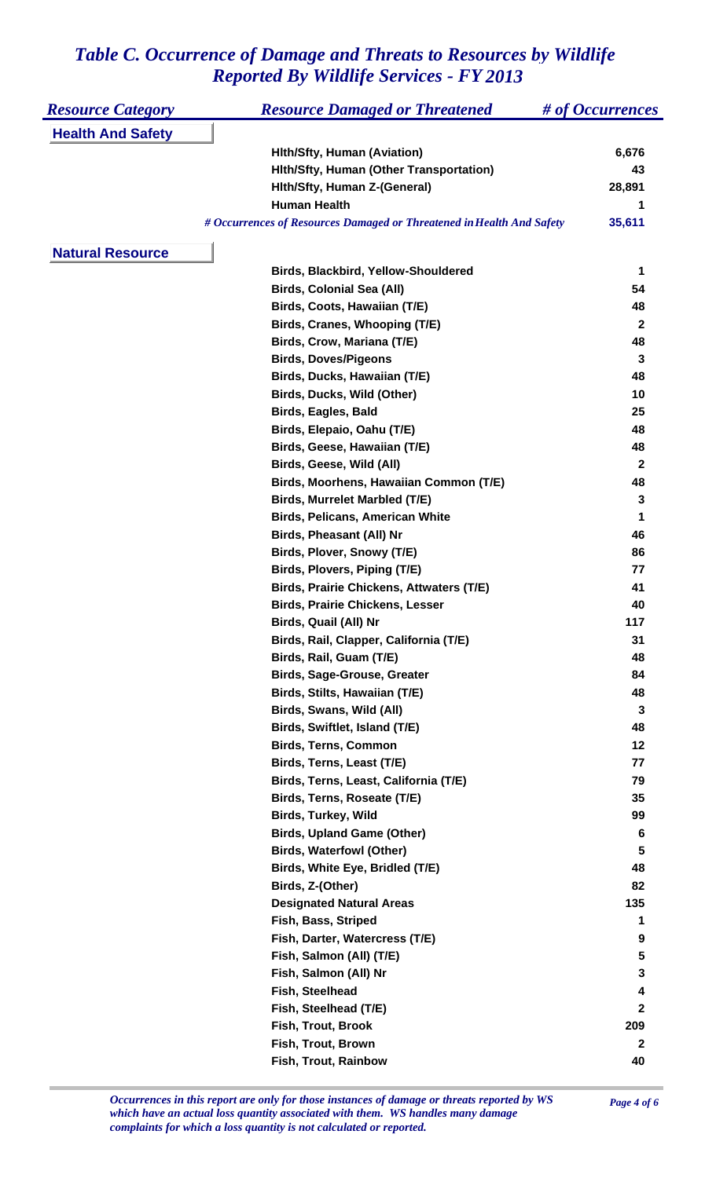| <b>Resource Category</b> | <b>Resource Damaged or Threatened</b>                                 | # of Occurrences |
|--------------------------|-----------------------------------------------------------------------|------------------|
| <b>Health And Safety</b> |                                                                       |                  |
|                          | <b>Hith/Sfty, Human (Aviation)</b>                                    | 6,676            |
|                          | Hith/Sfty, Human (Other Transportation)                               | 43               |
|                          | Hith/Sfty, Human Z-(General)                                          | 28,891           |
|                          | <b>Human Health</b>                                                   |                  |
|                          | # Occurrences of Resources Damaged or Threatened in Health And Safety | 35,611           |
| <b>Natural Resource</b>  |                                                                       |                  |
|                          | Birds, Blackbird, Yellow-Shouldered                                   | 1                |
|                          | <b>Birds, Colonial Sea (All)</b>                                      | 54               |
|                          | Birds, Coots, Hawaiian (T/E)                                          | 48               |
|                          | Birds, Cranes, Whooping (T/E)                                         | $\mathbf{2}$     |
|                          | Birds, Crow, Mariana (T/E)                                            | 48               |
|                          | <b>Birds, Doves/Pigeons</b>                                           | 3                |
|                          | Birds, Ducks, Hawaiian (T/E)                                          | 48               |
|                          | Birds, Ducks, Wild (Other)                                            | 10               |
|                          | <b>Birds, Eagles, Bald</b>                                            | 25               |
|                          | Birds, Elepaio, Oahu (T/E)                                            | 48               |
|                          | Birds, Geese, Hawaiian (T/E)                                          | 48               |
|                          | Birds, Geese, Wild (All)                                              | $\mathbf{2}$     |
|                          | Birds, Moorhens, Hawaiian Common (T/E)                                | 48               |
|                          | <b>Birds, Murrelet Marbled (T/E)</b>                                  | 3                |
|                          | <b>Birds, Pelicans, American White</b>                                | 1                |
|                          | <b>Birds, Pheasant (All) Nr</b>                                       | 46               |
|                          | Birds, Plover, Snowy (T/E)                                            | 86               |
|                          | Birds, Plovers, Piping (T/E)                                          | 77               |
|                          | <b>Birds, Prairie Chickens, Attwaters (T/E)</b>                       | 41               |
|                          | <b>Birds, Prairie Chickens, Lesser</b>                                | 40               |
|                          | Birds, Quail (All) Nr                                                 | 117              |
|                          | Birds, Rail, Clapper, California (T/E)                                | 31               |
|                          | Birds, Rail, Guam (T/E)                                               | 48               |
|                          | <b>Birds, Sage-Grouse, Greater</b>                                    | 84               |
|                          |                                                                       | 48               |
|                          | Birds, Stilts, Hawaiian (T/E)                                         |                  |
|                          | Birds, Swans, Wild (All)                                              | 3                |
|                          | Birds, Swiftlet, Island (T/E)                                         | 48               |
|                          | <b>Birds, Terns, Common</b>                                           | 12               |
|                          | Birds, Terns, Least (T/E)                                             | 77               |
|                          | Birds, Terns, Least, California (T/E)                                 | 79               |
|                          | Birds, Terns, Roseate (T/E)                                           | 35               |
|                          | <b>Birds, Turkey, Wild</b>                                            | 99               |
|                          | <b>Birds, Upland Game (Other)</b>                                     | 6                |
|                          | <b>Birds, Waterfowl (Other)</b>                                       | 5                |
|                          | Birds, White Eye, Bridled (T/E)                                       | 48               |
|                          | Birds, Z-(Other)                                                      | 82               |
|                          | <b>Designated Natural Areas</b>                                       | 135              |
|                          | Fish, Bass, Striped                                                   | 1                |
|                          | Fish, Darter, Watercress (T/E)                                        | 9                |
|                          | Fish, Salmon (All) (T/E)                                              | 5                |
|                          | Fish, Salmon (All) Nr                                                 | 3                |
|                          | Fish, Steelhead                                                       | 4                |
|                          | Fish, Steelhead (T/E)                                                 | $\mathbf{2}$     |
|                          | Fish, Trout, Brook                                                    | 209              |
|                          | Fish, Trout, Brown                                                    | $\mathbf{2}$     |
|                          | Fish, Trout, Rainbow                                                  | 40               |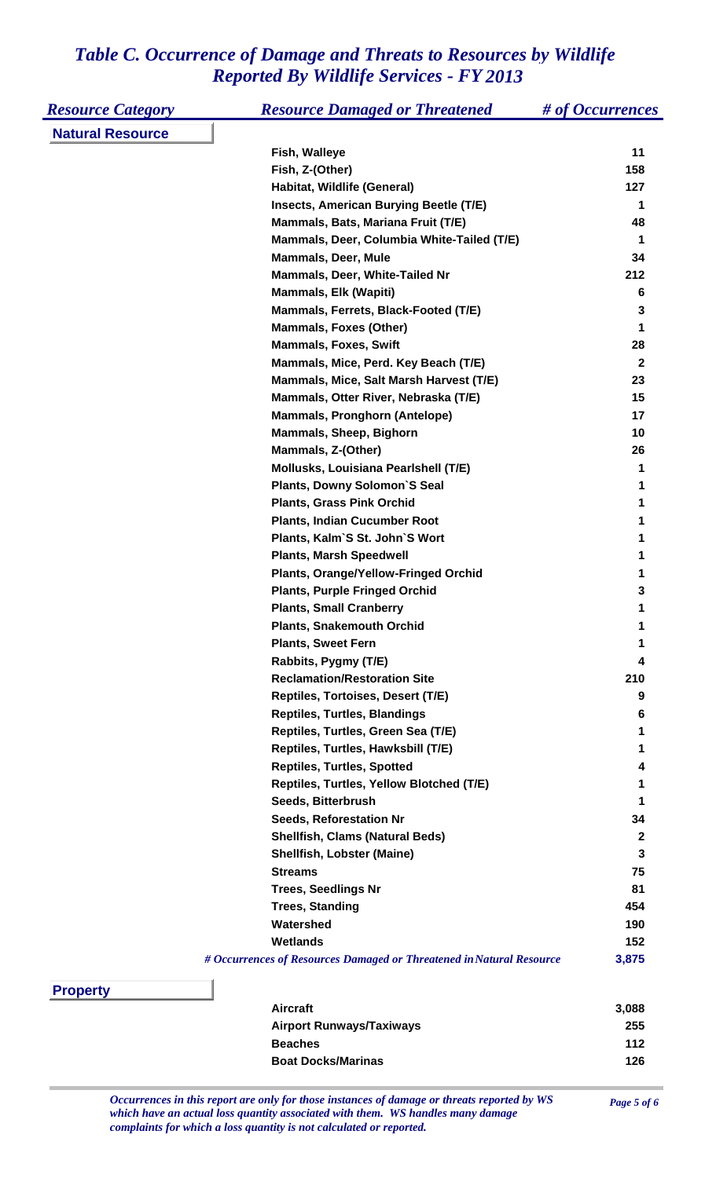| <b>Resource Category</b> | <b>Resource Damaged or Threatened</b>                                | # of Occurrences |
|--------------------------|----------------------------------------------------------------------|------------------|
| <b>Natural Resource</b>  |                                                                      |                  |
|                          | Fish, Walleye                                                        | 11               |
|                          | Fish, Z-(Other)                                                      | 158              |
|                          | Habitat, Wildlife (General)                                          | 127              |
|                          | <b>Insects, American Burying Beetle (T/E)</b>                        | 1                |
|                          | Mammals, Bats, Mariana Fruit (T/E)                                   | 48               |
|                          | Mammals, Deer, Columbia White-Tailed (T/E)                           | 1                |
|                          | <b>Mammals, Deer, Mule</b>                                           | 34               |
|                          | Mammals, Deer, White-Tailed Nr                                       | 212              |
|                          | <b>Mammals, Elk (Wapiti)</b>                                         | 6                |
|                          | Mammals, Ferrets, Black-Footed (T/E)                                 | 3                |
|                          | <b>Mammals, Foxes (Other)</b>                                        | 1                |
|                          | <b>Mammals, Foxes, Swift</b>                                         | 28               |
|                          | Mammals, Mice, Perd. Key Beach (T/E)                                 | $\mathbf{2}$     |
|                          | Mammals, Mice, Salt Marsh Harvest (T/E)                              | 23               |
|                          | Mammals, Otter River, Nebraska (T/E)                                 | 15               |
|                          | <b>Mammals, Pronghorn (Antelope)</b>                                 | 17               |
|                          | Mammals, Sheep, Bighorn                                              | 10               |
|                          | Mammals, Z-(Other)                                                   | 26               |
|                          | Mollusks, Louisiana Pearlshell (T/E)                                 | 1                |
|                          | <b>Plants, Downy Solomon'S Seal</b>                                  | 1                |
|                          | <b>Plants, Grass Pink Orchid</b>                                     | 1                |
|                          | <b>Plants, Indian Cucumber Root</b>                                  | 1                |
|                          | Plants, Kalm'S St. John'S Wort                                       | 1                |
|                          | <b>Plants, Marsh Speedwell</b>                                       | 1                |
|                          | <b>Plants, Orange/Yellow-Fringed Orchid</b>                          | 1                |
|                          | <b>Plants, Purple Fringed Orchid</b>                                 | 3                |
|                          | <b>Plants, Small Cranberry</b>                                       | 1                |
|                          | <b>Plants, Snakemouth Orchid</b>                                     | 1                |
|                          | <b>Plants, Sweet Fern</b>                                            |                  |
|                          | Rabbits, Pygmy (T/E)                                                 | 4                |
|                          | <b>Reclamation/Restoration Site</b>                                  | 210              |
|                          | Reptiles, Tortoises, Desert (T/E)                                    | 9                |
|                          | <b>Reptiles, Turtles, Blandings</b>                                  | 6                |
|                          | Reptiles, Turtles, Green Sea (T/E)                                   | 1                |
|                          | Reptiles, Turtles, Hawksbill (T/E)                                   | 1                |
|                          | <b>Reptiles, Turtles, Spotted</b>                                    | 4                |
|                          | Reptiles, Turtles, Yellow Blotched (T/E)                             | 1                |
|                          | Seeds, Bitterbrush                                                   | 1                |
|                          | <b>Seeds, Reforestation Nr</b>                                       | 34               |
|                          | <b>Shellfish, Clams (Natural Beds)</b>                               | $\boldsymbol{2}$ |
|                          | <b>Shellfish, Lobster (Maine)</b>                                    | 3                |
|                          | <b>Streams</b>                                                       | 75               |
|                          | <b>Trees, Seedlings Nr</b>                                           | 81               |
|                          | <b>Trees, Standing</b>                                               | 454              |
|                          | Watershed                                                            | 190              |
|                          | <b>Wetlands</b>                                                      | 152              |
|                          | # Occurrences of Resources Damaged or Threatened in Natural Resource | 3,875            |



| <b>Aircraft</b>                 | 3.088 |
|---------------------------------|-------|
| <b>Airport Runways/Taxiways</b> | 255   |
| <b>Beaches</b>                  | 112   |
| <b>Boat Docks/Marinas</b>       | 126   |